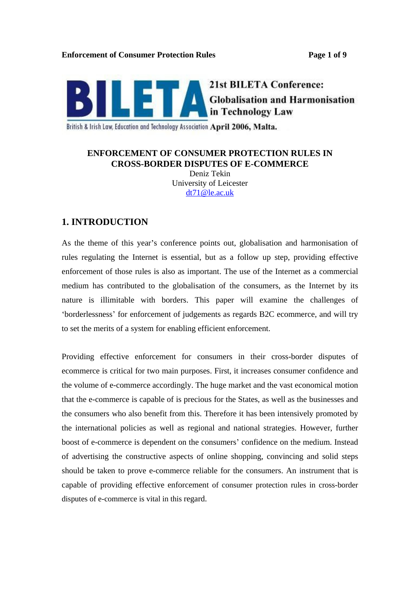

British & Irish Law, Education and Technology Association April 2006, Malta.

## **ENFORCEMENT OF CONSUMER PROTECTION RULES IN CROSS-BORDER DISPUTES OF E-COMMERCE** Deniz Tekin University of Leicester dt71@le.ac.uk

# **1. INTRODUCTION**

As the theme of this year's conference points out, globalisation and harmonisation of rules regulating the Internet is essential, but as a follow up step, providing effective enforcement of those rules is also as important. The use of the Internet as a commercial medium has contributed to the globalisation of the consumers, as the Internet by its nature is illimitable with borders. This paper will examine the challenges of borderlessness for enforcement of judgements as regards B2C ecommerce, and will try to set the merits of a system for enabling efficient enforcement.

Providing effective enforcement for consumers in their cross-border disputes of ecommerce is critical for two main purposes. First, it increases consumer confidence and the volume of e-commerce accordingly. The huge market and the vast economical motion that the e-commerce is capable of is precious for the States, as well as the businesses and the consumers who also benefit from this. Therefore it has been intensively promoted by the international policies as well as regional and national strategies. However, further boost of e-commerce is dependent on the consumers' confidence on the medium. Instead of advertising the constructive aspects of online shopping, convincing and solid steps should be taken to prove e-commerce reliable for the consumers. An instrument that is capable of providing effective enforcement of consumer protection rules in cross-border disputes of e-commerce is vital in this regard.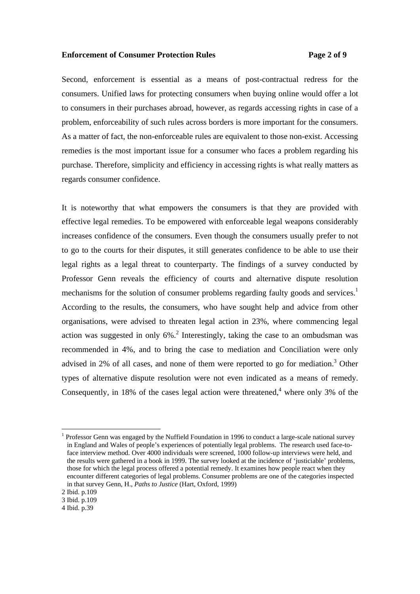### **Enforcement of Consumer Protection Rules Page 2 of 9**

Second, enforcement is essential as a means of post-contractual redress for the consumers. Unified laws for protecting consumers when buying online would offer a lot to consumers in their purchases abroad, however, as regards accessing rights in case of a problem, enforceability of such rules across borders is more important for the consumers. As a matter of fact, the non-enforceable rules are equivalent to those non-exist. Accessing remedies is the most important issue for a consumer who faces a problem regarding his purchase. Therefore, simplicity and efficiency in accessing rights is what really matters as regards consumer confidence.

It is noteworthy that what empowers the consumers is that they are provided with effective legal remedies. To be empowered with enforceable legal weapons considerably increases confidence of the consumers. Even though the consumers usually prefer to not to go to the courts for their disputes, it still generates confidence to be able to use their legal rights as a legal threat to counterparty. The findings of a survey conducted by Professor Genn reveals the efficiency of courts and alternative dispute resolution mechanisms for the solution of consumer problems regarding faulty goods and services.<sup>1</sup> According to the results, the consumers, who have sought help and advice from other organisations, were advised to threaten legal action in 23%, where commencing legal action was suggested in only 6%.<sup>2</sup> Interestingly, taking the case to an ombudsman was recommended in 4%, and to bring the case to mediation and Conciliation were only advised in 2% of all cases, and none of them were reported to go for mediation.<sup>3</sup> Other types of alternative dispute resolution were not even indicated as a means of remedy. Consequently, in 18% of the cases legal action were threatened,  $4\overline{ }$  where only 3% of the where only 3% of the

<sup>&</sup>lt;sup>1</sup> Professor Genn was engaged by the Nuffield Foundation in 1996 to conduct a large-scale national survey in England and Wales of people s experiences of potentially legal problems. The research used face-to face interview method. Over 4000 individuals were screened, 1000 follow-up interviews were held, and the results were gathered in a book in 1999. The survey looked at the incidence of 'justiciable' problems, those for which the legal process offered a potential remedy. It examines how people react when they encounter different categories of legal problems. Consumer problems are one of the categories inspected in that survey Genn, H., *Paths to Justice* (Hart, Oxford, 1999)

<sup>2</sup> Ibid. p.109

<sup>3</sup> Ibid. p.109

<sup>4</sup> Ibid. p.39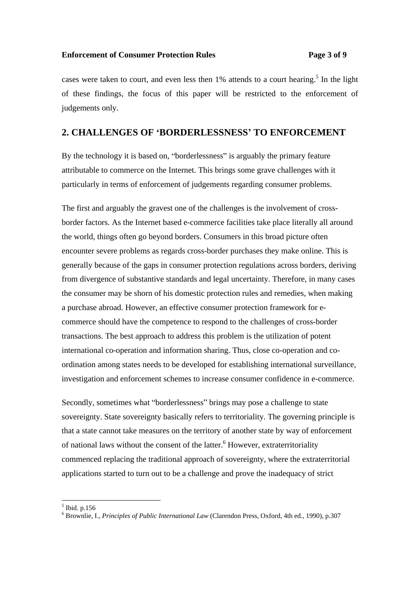### **Enforcement of Consumer Protection Rules Page 3 of 9**

cases were taken to court, and even less then  $1\%$  attends to a court hearing.<sup>5</sup> In the light In the light of these findings, the focus of this paper will be restricted to the enforcement of judgements only.

## **2. CHALLENGES OF BORDERLESSNESS TO ENFORCEMENT**

By the technology it is based on, "borderlessness" is arguably the primary feature attributable to commerce on the Internet. This brings some grave challenges with it particularly in terms of enforcement of judgements regarding consumer problems.

The first and arguably the gravest one of the challenges is the involvement of cross border factors. As the Internet based e-commerce facilities take place literally all around the world, things often go beyond borders. Consumers in this broad picture often encounter severe problems as regards cross-border purchases they make online. This is generally because of the gaps in consumer protection regulations across borders, deriving from divergence of substantive standards and legal uncertainty. Therefore, in many cases the consumer may be shorn of his domestic protection rules and remedies, when making a purchase abroad. However, an effective consumer protection framework for e commerce should have the competence to respond to the challenges of cross-border transactions. The best approach to address this problem is the utilization of potent international co-operation and information sharing. Thus, close co-operation and co ordination among states needs to be developed for establishing international surveillance, investigation and enforcement schemes to increase consumer confidence in e-commerce.

Secondly, sometimes what "borderlessness" brings may pose a challenge to state sovereignty. State sovereignty basically refers to territoriality. The governing principle is that a state cannot take measures on the territory of another state by way of enforcement of national laws without the consent of the latter.<sup>6</sup> However, extraterritoriality commenced replacing the traditional approach of sovereignty, where the extraterritorial applications started to turn out to be a challenge and prove the inadequacy of strict

 $5$  Ibid n 156 Ibid. p.156

<sup>6</sup> Brownlie, I., *Principles of Public International Law* (Clarendon Press, Oxford, 4th ed., 1990), p.307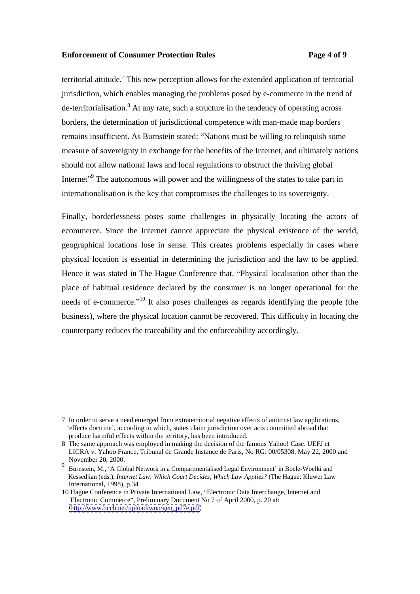### **Enforcement of Consumer Protection Rules Page 4 of 9**

territorial attitude.<sup>7</sup> This new perception allows for the extended application of territorial jurisdiction, which enables managing the problems posed by e-commerce in the trend of  $de-terri torialisation<sup>8</sup>$  At any rate, such a structure in the tendency of operating across borders, the determination of jurisdictional competence with man-made map borders remains insufficient. As Burnstein stated: "Nations must be willing to relinquish some measure of sovereignty in exchange for the benefits of the Internet, and ultimately nations should not allow national laws and local regulations to obstruct the thriving global Internet<sup>"</sup> The autonomous will power and the willingness of the states to take part in internationalisation is the key that compromises the challenges to its sovereignty.

Finally, borderlessness poses some challenges in physically locating the actors of ecommerce. Since the Internet cannot appreciate the physical existence of the world, geographical locations lose in sense. This creates problems especially in cases where physical location is essential in determining the jurisdiction and the law to be applied. Hence it was stated in The Hague Conference that, "Physical localisation other than the place of habitual residence declared by the consumer is no longer operational for the needs of e-commerce.<sup>"10</sup> It also poses challenges as regards identifying the people (the business), where the physical location cannot be recovered. This difficulty in locating the counterparty reduces the traceability and the enforceability accordingly.

 <sup>7</sup> In order to serve a need emerged from extraterritorial negative effects of antitrust law applications, effects doctrine , according to which, states claim jurisdiction over acts committed abroad that produce harmful effects within the territory, has been introduced.

<sup>8</sup> The same approach was employed in making the decision of the famous Yahoo! Case. UEFJ et LICRA v. Yahoo France, Tribunal de Grande Instance de Paris, No RG: 00/05308, May 22, 2000 and November 20, 2000.

<sup>&</sup>lt;sup>9</sup> Burnstein, M., 'A Global Network in a Compartmentalised Legal Environment' in Boele-Woelki and Kessedjian (eds.), *Internet Law: Which Court Decides, Which Law Applies?* (The Hague: Kluwer Law International, 1998), p.34 International, 1998), p.34

<sup>10</sup> Hague Conference in Private International Law, "Electronic Data Interchange, Internet and Electronic Commerce", Preliminary Document No 7 of April 2000, p. 20 at: [http://www.hcch.net/upload/wop/gen\\_pd7e.pdf](http://www.hcch.net/upload/wop/gen_pd7e.pdf)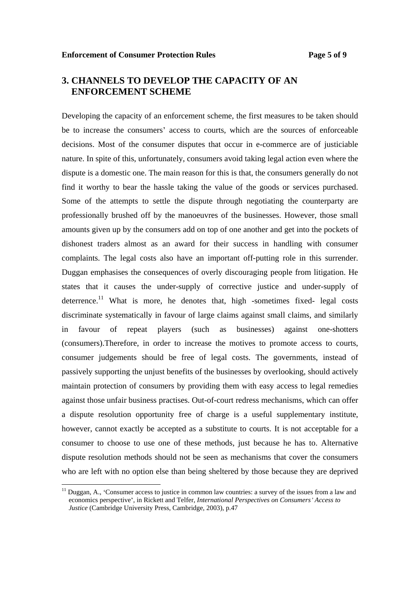# **3. CHANNELS TO DEVELOP THE CAPACITY OF AN ENFORCEMENT SCHEME**

Developing the capacity of an enforcement scheme, the first measures to be taken should be to increase the consumers' access to courts, which are the sources of enforceable decisions. Most of the consumer disputes that occur in e-commerce are of justiciable nature. In spite of this, unfortunately, consumers avoid taking legal action even where the dispute is a domestic one. The main reason for this is that, the consumers generally do not find it worthy to bear the hassle taking the value of the goods or services purchased. Some of the attempts to settle the dispute through negotiating the counterparty are professionally brushed off by the manoeuvres of the businesses. However, those small amounts given up by the consumers add on top of one another and get into the pockets of dishonest traders almost as an award for their success in handling with consumer complaints. The legal costs also have an important off-putting role in this surrender. Duggan emphasises the consequences of overly discouraging people from litigation. He states that it causes the under-supply of corrective justice and under-supply of deterrence.<sup>11</sup> What is more, he denotes that, high -sometimes fixed- legal costs discriminate systematically in favour of large claims against small claims, and similarly in favour of repeat players (such as businesses) against one-shotters (consumers).Therefore, in order to increase the motives to promote access to courts, consumer judgements should be free of legal costs. The governments, instead of passively supporting the unjust benefits of the businesses by overlooking, should actively maintain protection of consumers by providing them with easy access to legal remedies against those unfair business practises. Out-of-court redress mechanisms, which can offer a dispute resolution opportunity free of charge is a useful supplementary institute, however, cannot exactly be accepted as a substitute to courts. It is not acceptable for a consumer to choose to use one of these methods, just because he has to. Alternative dispute resolution methods should not be seen as mechanisms that cover the consumers who are left with no option else than being sheltered by those because they are deprived

<sup>&</sup>lt;sup>11</sup> Duggan, A., 'Consumer access to justice in common law countries: a survey of the issues from a law and economics perspective , in Rickett and Telfer, *International Perspectives on Consumers Access to Justice* (Cambridge University Press, Cambridge, 2003), p.47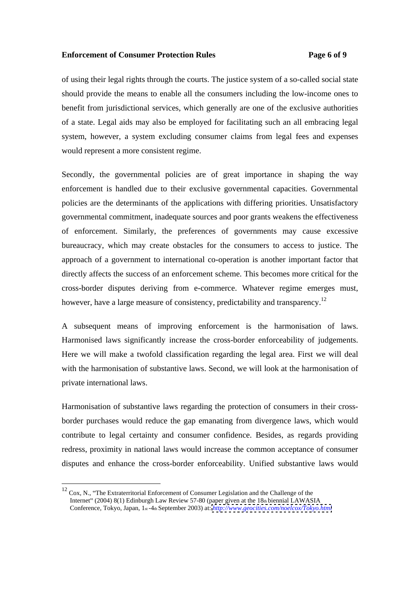### **Enforcement of Consumer Protection Rules Page 6 of 9**

of using their legal rights through the courts. The justice system of a so-called social state should provide the means to enable all the consumers including the low-income ones to benefit from jurisdictional services, which generally are one of the exclusive authorities of a state. Legal aids may also be employed for facilitating such an all embracing legal system, however, a system excluding consumer claims from legal fees and expenses would represent a more consistent regime.

Secondly, the governmental policies are of great importance in shaping the way enforcement is handled due to their exclusive governmental capacities. Governmental policies are the determinants of the applications with differing priorities. Unsatisfactory governmental commitment, inadequate sources and poor grants weakens the effectiveness of enforcement. Similarly, the preferences of governments may cause excessive bureaucracy, which may create obstacles for the consumers to access to justice. The approach of a government to international co-operation is another important factor that directly affects the success of an enforcement scheme. This becomes more critical for the cross-border disputes deriving from e-commerce. Whatever regime emerges must, however, have a large measure of consistency, predictability and transparency.<sup>12</sup>

<sup>A</sup> subsequent means of improving enforcement is the harmonisation of laws. Harmonised laws significantly increase the cross-border enforceability of judgements. Here we will make a twofold classification regarding the legal area. First we will deal with the harmonisation of substantive laws. Second, we will look at the harmonisation of private international laws.

Harmonisation of substantive laws regarding the protection of consumers in their cross border purchases would reduce the gap emanating from divergence laws, which would contribute to legal certainty and consumer confidence. Besides, as regards providing redress, proximity in national laws would increase the common acceptance of consumer disputes and enhance the cross-border enforceability. Unified substantive laws would

 $12$  Cox, N., "The Extraterritorial Enforcement of Consumer Legislation and the Challenge of the Internet" (2004) 8(1) Edinburgh Law Review 57-80 (paper given at the  $18<sub>th</sub>$  biennial LAWASIA Conference, Tokyo, Japan, 1st -4th September 2003) at: *<http://www.geocities.com/noelcox/Tokyo.html>*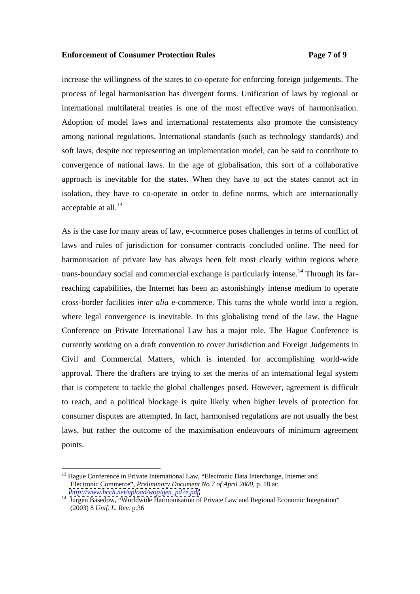### **Enforcement of Consumer Protection Rules Page 7 of 9**

increase the willingness of the states to co-operate for enforcing foreign judgements. The process of legal harmonisation has divergent forms. Unification of laws by regional or international multilateral treaties is one of the most effective ways of harmonisation. Adoption of model laws and international restatements also promote the consistency among national regulations. International standards (such as technology standards) and soft laws, despite not representing an implementation model, can be said to contribute to convergence of national laws. In the age of globalisation, this sort of a collaborative approach is inevitable for the states. When they have to act the states cannot act in isolation, they have to co-operate in order to define norms, which are internationally acceptable at all.<sup>13</sup>  $\mu$  and  $\mu$  are set of  $\mu$  and  $\mu$  are set of  $\mu$  and  $\mu$  are set of  $\mu$  and  $\mu$  are set of  $\mu$  and  $\mu$  are set of  $\mu$  and  $\mu$  are set of  $\mu$  and  $\mu$  are set of  $\mu$  and  $\mu$  are set o

As is the case for many areas of law, e-commerce poses challenges in terms of conflict of laws and rules of jurisdiction for consumer contracts concluded online. The need for harmonisation of private law has always been felt most clearly within regions where trans-boundary social and commercial exchange is particularly intense.<sup>14</sup> Through its farreaching capabilities, the Internet has been an astonishingly intense medium to operate cross-border facilities *inter alia* e-commerce. This turns the whole world into a region, where legal convergence is inevitable. In this globalising trend of the law, the Hague Conference on Private International Law has a major role. The Hague Conference is currently working on a draft convention to cover Jurisdiction and Foreign Judgements in Civil and Commercial Matters, which is intended for accomplishing world-wide approval. There the drafters are trying to set the merits of an international legal system that is competent to tackle the global challenges posed. However, agreement is difficult to reach, and a political blockage is quite likely when higher levels of protection for consumer disputes are attempted. In fact, harmonised regulations are not usually the best laws, but rather the outcome of the maximisation endeavours of minimum agreement points.

<sup>&</sup>lt;sup>13</sup> Hague Conference in Private International Law, "Electronic Data Interchange, Internet and Electronic Commerce", *Preliminary Document No 7 of April 2000*, p. 18 at:<br>http://www.hcch.net/upload/wop/gen\_pd7e.pdf

<sup>&</sup>lt;sup>14</sup> Jurgen Basedow, "Worldwide Harmonisation of Private Law and Regional Economic Integration" (2003) 8 *Unif. L. Rev.* p.36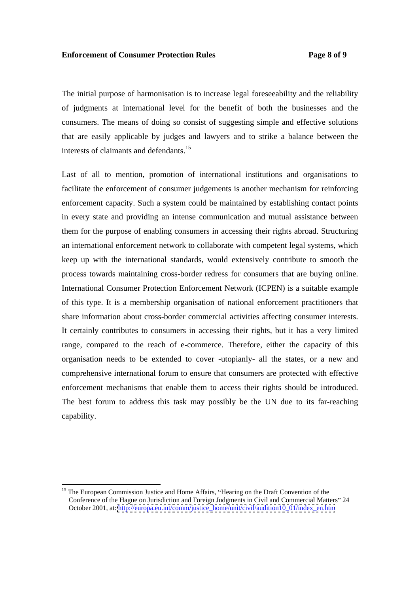### **Enforcement of Consumer Protection Rules Page 8 of 9**

The initial purpose of harmonisation is to increase legal foreseeability and the reliability of judgments at international level for the benefit of both the businesses and the consumers. The means of doing so consist of suggesting simple and effective solutions that are easily applicable by judges and lawyers and to strike a balance between the interests of claimants and defendants.15

Last of all to mention, promotion of international institutions and organisations to facilitate the enforcement of consumer judgements is another mechanism for reinforcing enforcement capacity. Such a system could be maintained by establishing contact points in every state and providing an intense communication and mutual assistance between them for the purpose of enabling consumers in accessing their rights abroad. Structuring an international enforcement network to collaborate with competent legal systems, which keep up with the international standards, would extensively contribute to smooth the process towards maintaining cross-border redress for consumers that are buying online. International Consumer Protection Enforcement Network (ICPEN) is a suitable example of this type. It is a membership organisation of national enforcement practitioners that share information about cross-border commercial activities affecting consumer interests. It certainly contributes to consumers in accessing their rights, but it has a very limited range, compared to the reach of e-commerce. Therefore, either the capacity of this organisation needs to be extended to cover -utopianly- all the states, or a new and comprehensive international forum to ensure that consumers are protected with effective enforcement mechanisms that enable them to access their rights should be introduced. The best forum to address this task may possibly be the UN due to its far-reaching capability.

<sup>&</sup>lt;sup>15</sup> The European Commission Justice and Home Affairs, "Hearing on the Draft Convention of the Conference of the Hague on Jurisdiction and Foreign Judgments in Civil and Commercial Matters" 24 October 2001, at: [http://europa.eu.int/comm/justice\\_home/unit/civil/audition10\\_01/index\\_en.htm](http://europa.eu.int/comm/justice_home/unit/civil/audition10_01/index_en.htm)